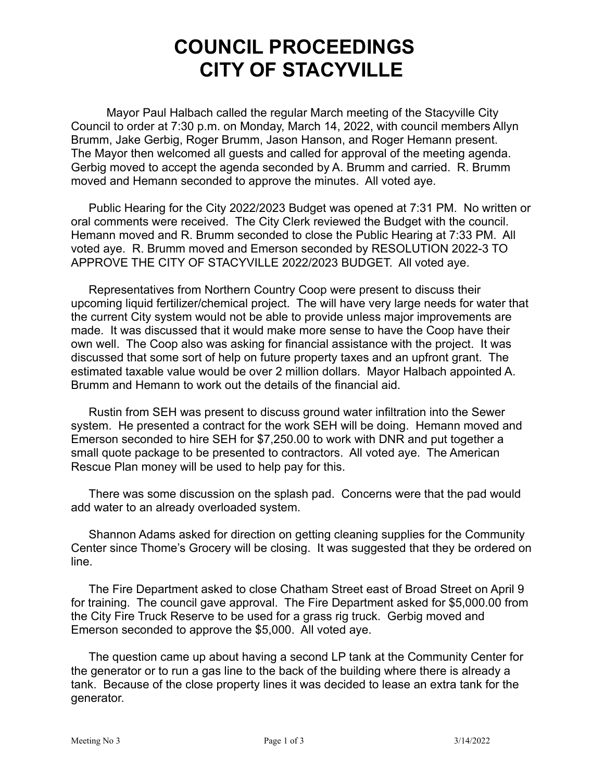## **COUNCIL PROCEEDINGS CITY OF STACYVILLE**

Mayor Paul Halbach called the regular March meeting of the Stacyville City Council to order at 7:30 p.m. on Monday, March 14, 2022, with council members Allyn Brumm, Jake Gerbig, Roger Brumm, Jason Hanson, and Roger Hemann present. The Mayor then welcomed all guests and called for approval of the meeting agenda. Gerbig moved to accept the agenda seconded by A. Brumm and carried. R. Brumm moved and Hemann seconded to approve the minutes. All voted aye.

Public Hearing for the City 2022/2023 Budget was opened at 7:31 PM. No written or oral comments were received. The City Clerk reviewed the Budget with the council. Hemann moved and R. Brumm seconded to close the Public Hearing at 7:33 PM. All voted aye. R. Brumm moved and Emerson seconded by RESOLUTION 2022-3 TO APPROVE THE CITY OF STACYVILLE 2022/2023 BUDGET. All voted aye.

Representatives from Northern Country Coop were present to discuss their upcoming liquid fertilizer/chemical project. The will have very large needs for water that the current City system would not be able to provide unless major improvements are made. It was discussed that it would make more sense to have the Coop have their own well. The Coop also was asking for financial assistance with the project. It was discussed that some sort of help on future property taxes and an upfront grant. The estimated taxable value would be over 2 million dollars. Mayor Halbach appointed A. Brumm and Hemann to work out the details of the financial aid.

Rustin from SEH was present to discuss ground water infiltration into the Sewer system. He presented a contract for the work SEH will be doing. Hemann moved and Emerson seconded to hire SEH for \$7,250.00 to work with DNR and put together a small quote package to be presented to contractors. All voted aye. The American Rescue Plan money will be used to help pay for this.

There was some discussion on the splash pad. Concerns were that the pad would add water to an already overloaded system.

Shannon Adams asked for direction on getting cleaning supplies for the Community Center since Thome's Grocery will be closing. It was suggested that they be ordered on line.

The Fire Department asked to close Chatham Street east of Broad Street on April 9 for training. The council gave approval. The Fire Department asked for \$5,000.00 from the City Fire Truck Reserve to be used for a grass rig truck. Gerbig moved and Emerson seconded to approve the \$5,000. All voted aye.

The question came up about having a second LP tank at the Community Center for the generator or to run a gas line to the back of the building where there is already a tank. Because of the close property lines it was decided to lease an extra tank for the generator.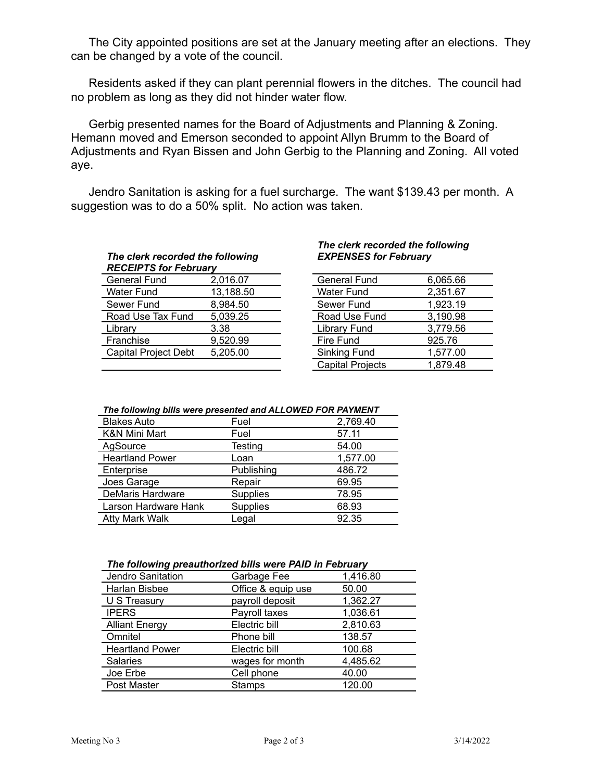The City appointed positions are set at the January meeting after an elections. They can be changed by a vote of the council.

Residents asked if they can plant perennial flowers in the ditches. The council had no problem as long as they did not hinder water flow.

Gerbig presented names for the Board of Adjustments and Planning & Zoning. Hemann moved and Emerson seconded to appoint Allyn Brumm to the Board of Adjustments and Ryan Bissen and John Gerbig to the Planning and Zoning. All voted aye.

Jendro Sanitation is asking for a fuel surcharge. The want \$139.43 per month. A suggestion was to do a 50% split. No action was taken.

## *The clerk recorded the following RECEIPTS for February*

| 1120211 19101 1921 441 V    |           |                   |          |
|-----------------------------|-----------|-------------------|----------|
| General Fund                | 2,016.07  | General Fund      | 6,065.66 |
| <b>Water Fund</b>           | 13,188.50 | <b>Water Fund</b> | 2,351.67 |
| Sewer Fund                  | 8.984.50  | Sewer Fund        | 1,923.19 |
| Road Use Tax Fund           | 5,039.25  | Road Use Fund     | 3,190.98 |
| Library                     | 3.38      | Library Fund      | 3,779.56 |
| Franchise                   | 9,520.99  | Fire Fund         | 925.76   |
| <b>Capital Project Debt</b> | 5,205.00  | Sinking Fund      | 1,577.00 |
|                             |           |                   | .        |

## *The clerk recorded the following EXPENSES for February*

| <b>General Fund</b>     | 6,065.66 |
|-------------------------|----------|
| <b>Water Fund</b>       | 2,351.67 |
| Sewer Fund              | 1,923.19 |
| Road Use Fund           | 3,190.98 |
| Library Fund            | 3,779.56 |
| Fire Fund               | 925.76   |
| Sinking Fund            | 1,577.00 |
| <b>Capital Projects</b> | 1,879.48 |
|                         |          |

## *The following bills were presented and ALLOWED FOR PAYMENT*

| <b>Blakes Auto</b>       | Fuel            | 2,769.40 |
|--------------------------|-----------------|----------|
| <b>K&amp;N Mini Mart</b> | Fuel            | 57.11    |
| AgSource                 | Testing         | 54.00    |
| <b>Heartland Power</b>   | Loan            | 1,577.00 |
| Enterprise               | Publishing      | 486.72   |
| Joes Garage              | Repair          | 69.95    |
| <b>DeMaris Hardware</b>  | <b>Supplies</b> | 78.95    |
| Larson Hardware Hank     | <b>Supplies</b> | 68.93    |
| <b>Atty Mark Walk</b>    | Legal           | 92.35    |

| The following preauthorized bills were PAID in February |  |  |
|---------------------------------------------------------|--|--|
|---------------------------------------------------------|--|--|

| Jendro Sanitation      | Garbage Fee        | 1,416.80 |
|------------------------|--------------------|----------|
| Harlan Bisbee          | Office & equip use | 50.00    |
| U S Treasury           | payroll deposit    | 1,362.27 |
| <b>IPERS</b>           | Payroll taxes      | 1,036.61 |
| <b>Alliant Energy</b>  | Electric bill      | 2,810.63 |
| Omnitel                | Phone bill         | 138.57   |
| <b>Heartland Power</b> | Electric bill      | 100.68   |
| Salaries               | wages for month    | 4,485.62 |
| Joe Erbe               | Cell phone         | 40.00    |
| Post Master            | <b>Stamps</b>      | 120.00   |
|                        |                    |          |